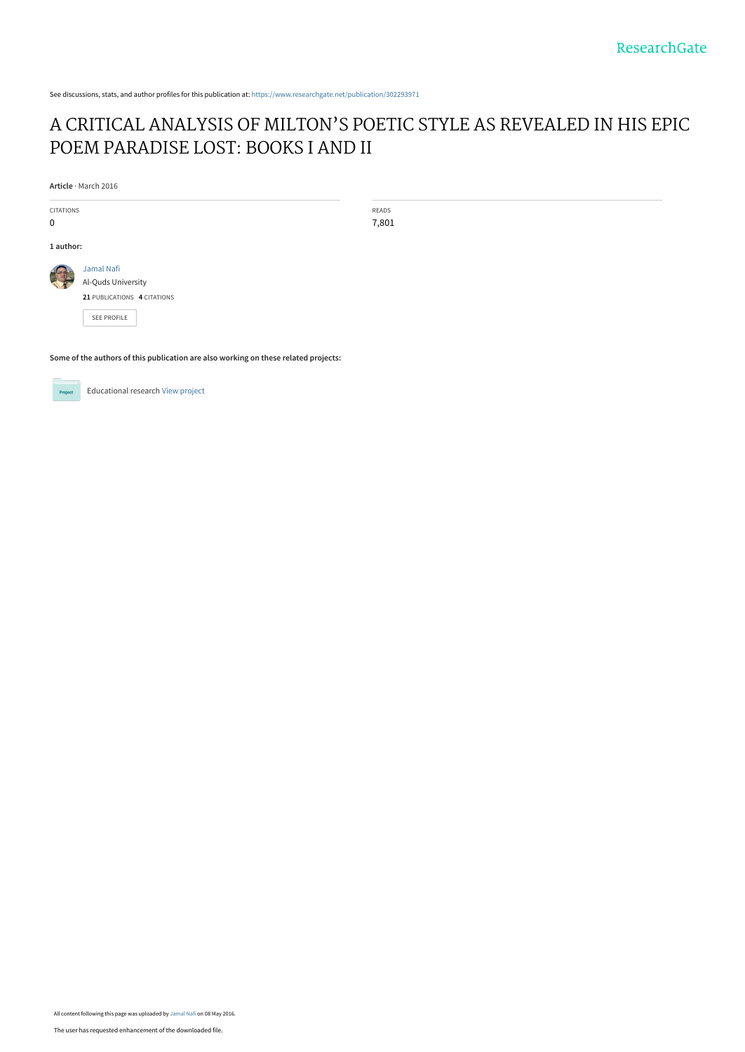See discussions, stats, and author profiles for this publication at: [https://www.researchgate.net/publication/302293971](https://www.researchgate.net/publication/302293971_A_CRITICAL_ANALYSIS_OF_MILTON%27S_POETIC_STYLE_AS_REVEALED_IN_HIS_EPIC_POEM_PARADISE_LOST_BOOKS_I_AND_II?enrichId=rgreq-37ce2366312802897bb64c4479b4a444-XXX&enrichSource=Y292ZXJQYWdlOzMwMjI5Mzk3MTtBUzozNTk1MDIxNjAzODQwMDBAMTQ2MjcyMzQwMjExMA%3D%3D&el=1_x_2&_esc=publicationCoverPdf)

# [A CRITICAL ANALYSIS OF MILTON'S POETIC STYLE AS REVEALED IN HIS EPIC](https://www.researchgate.net/publication/302293971_A_CRITICAL_ANALYSIS_OF_MILTON%27S_POETIC_STYLE_AS_REVEALED_IN_HIS_EPIC_POEM_PARADISE_LOST_BOOKS_I_AND_II?enrichId=rgreq-37ce2366312802897bb64c4479b4a444-XXX&enrichSource=Y292ZXJQYWdlOzMwMjI5Mzk3MTtBUzozNTk1MDIxNjAzODQwMDBAMTQ2MjcyMzQwMjExMA%3D%3D&el=1_x_3&_esc=publicationCoverPdf) POEM PARADISE LOST: BOOKS I AND II

**Article** · March 2016

CITATIONS 0

**1 author:**

READS 7,801

[Jamal Nafi](https://www.researchgate.net/profile/Jamal_Nafi?enrichId=rgreq-37ce2366312802897bb64c4479b4a444-XXX&enrichSource=Y292ZXJQYWdlOzMwMjI5Mzk3MTtBUzozNTk1MDIxNjAzODQwMDBAMTQ2MjcyMzQwMjExMA%3D%3D&el=1_x_5&_esc=publicationCoverPdf) [Al-Quds University](https://www.researchgate.net/institution/Al-Quds_University?enrichId=rgreq-37ce2366312802897bb64c4479b4a444-XXX&enrichSource=Y292ZXJQYWdlOzMwMjI5Mzk3MTtBUzozNTk1MDIxNjAzODQwMDBAMTQ2MjcyMzQwMjExMA%3D%3D&el=1_x_6&_esc=publicationCoverPdf) **21** PUBLICATIONS **4** CITATIONS

[SEE PROFILE](https://www.researchgate.net/profile/Jamal_Nafi?enrichId=rgreq-37ce2366312802897bb64c4479b4a444-XXX&enrichSource=Y292ZXJQYWdlOzMwMjI5Mzk3MTtBUzozNTk1MDIxNjAzODQwMDBAMTQ2MjcyMzQwMjExMA%3D%3D&el=1_x_7&_esc=publicationCoverPdf)

**Some of the authors of this publication are also working on these related projects:**



Educational research [View project](https://www.researchgate.net/project/Educational-research-13?enrichId=rgreq-37ce2366312802897bb64c4479b4a444-XXX&enrichSource=Y292ZXJQYWdlOzMwMjI5Mzk3MTtBUzozNTk1MDIxNjAzODQwMDBAMTQ2MjcyMzQwMjExMA%3D%3D&el=1_x_9&_esc=publicationCoverPdf)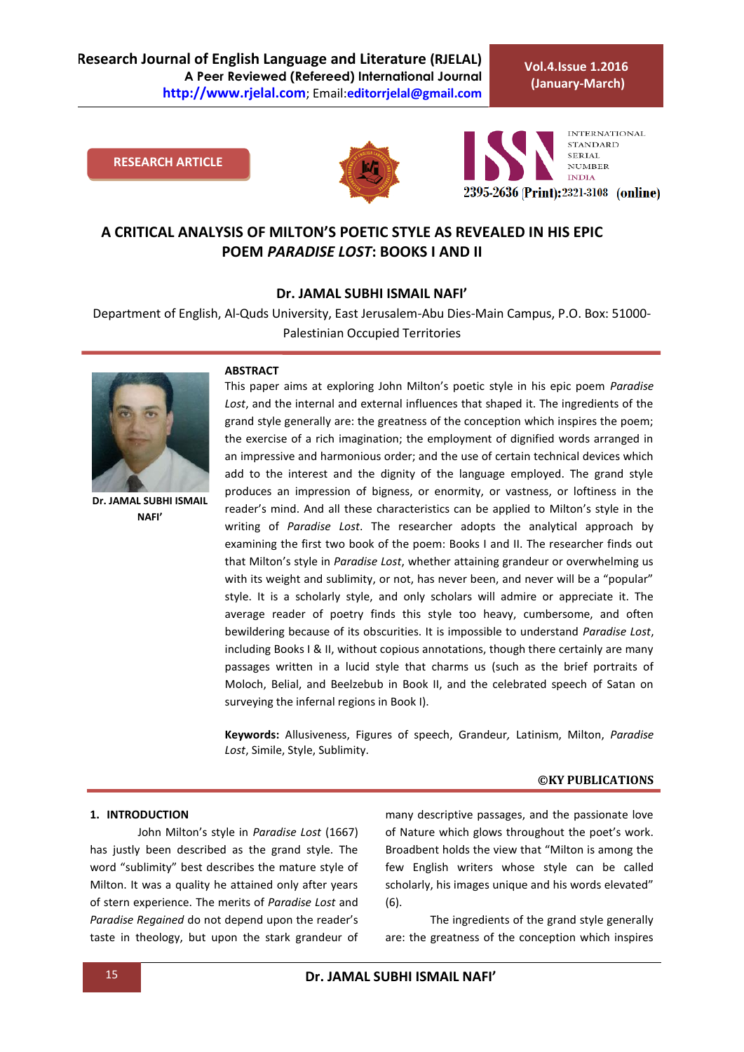**Research Journal of English Language and Literature (RJELAL) A Peer Reviewed (Refereed) International Journal http://www.rjelal.com**; Email:**editorrjelal@gmail.com**

**Vol.4.Issue 1.2016 (January-March)**

### **RESEARCH ARTICLE**





## **A CRITICAL ANALYSIS OF MILTON'S POETIC STYLE AS REVEALED IN HIS EPIC POEM** *PARADISE LOST***: BOOKS I AND II**

#### **Dr. JAMAL SUBHI ISMAIL NAFI'**

Department of English, Al-Quds University, East Jerusalem-Abu Dies-Main Campus, P.O. Box: 51000- Palestinian Occupied Territories



**Dr. JAMAL SUBHI ISMAIL NAFI'**

#### **ABSTRACT**

This paper aims at exploring John Milton's poetic style in his epic poem *Paradise Lost*, and the internal and external influences that shaped it. The ingredients of the grand style generally are: the greatness of the conception which inspires the poem; the exercise of a rich imagination; the employment of dignified words arranged in an impressive and harmonious order; and the use of certain technical devices which add to the interest and the dignity of the language employed. The grand style produces an impression of bigness, or enormity, or vastness, or loftiness in the reader's mind. And all these characteristics can be applied to Milton's style in the writing of *Paradise Lost*. The researcher adopts the analytical approach by examining the first two book of the poem: Books I and II. The researcher finds out that Milton's style in *Paradise Lost*, whether attaining grandeur or overwhelming us with its weight and sublimity, or not, has never been, and never will be a "popular" style. It is a scholarly style, and only scholars will admire or appreciate it. The average reader of poetry finds this style too heavy, cumbersome, and often bewildering because of its obscurities. It is impossible to understand *Paradise Lost*, including Books I & II, without copious annotations, though there certainly are many passages written in a lucid style that charms us (such as the brief portraits of Moloch, Belial, and Beelzebub in Book II, and the celebrated speech of Satan on surveying the infernal regions in Book I).

**Keywords:** Allusiveness, Figures of speech, Grandeur*,* Latinism, Milton, *Paradise Lost*, Simile, Style, Sublimity.

#### **©KY PUBLICATIONS**

## **1. INTRODUCTION**

John Milton's style in *Paradise Lost* (1667) has justly been described as the grand style. The word "sublimity" best describes the mature style of Milton. It was a quality he attained only after years of stern experience. The merits of *Paradise Lost* and *Paradise Regained* do not depend upon the reader's taste in theology, but upon the stark grandeur of many descriptive passages, and the passionate love of Nature which glows throughout the poet's work. Broadbent holds the view that "Milton is among the few English writers whose style can be called scholarly, his images unique and his words elevated" (6).

The ingredients of the grand style generally are: the greatness of the conception which inspires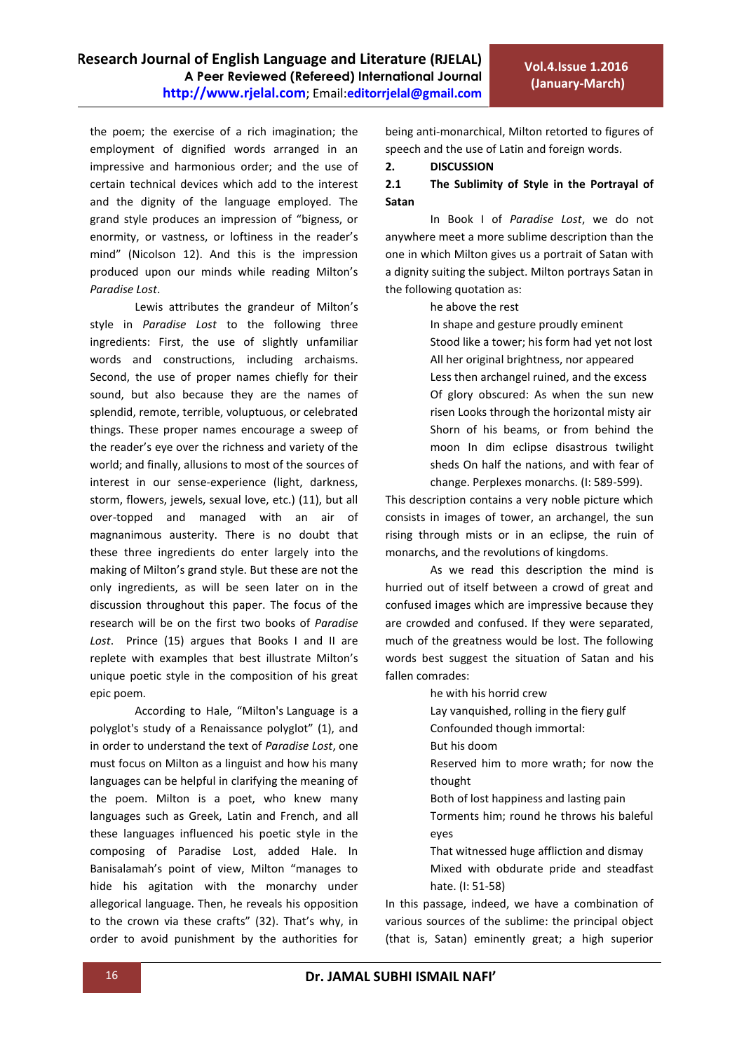the poem; the exercise of a rich imagination; the employment of dignified words arranged in an impressive and harmonious order; and the use of certain technical devices which add to the interest and the dignity of the language employed. The grand style produces an impression of "bigness, or enormity, or vastness, or loftiness in the reader's mind" (Nicolson 12). And this is the impression produced upon our minds while reading Milton's *Paradise Lost*.

Lewis attributes the grandeur of Milton's style in *Paradise Lost* to the following three ingredients: First, the use of slightly unfamiliar words and constructions, including archaisms. Second, the use of proper names chiefly for their sound, but also because they are the names of splendid, remote, terrible, voluptuous, or celebrated things. These proper names encourage a sweep of the reader's eye over the richness and variety of the world; and finally, allusions to most of the sources of interest in our sense-experience (light, darkness, storm, flowers, jewels, sexual love, etc.) (11), but all over-topped and managed with an air of magnanimous austerity. There is no doubt that these three ingredients do enter largely into the making of Milton's grand style. But these are not the only ingredients, as will be seen later on in the discussion throughout this paper. The focus of the research will be on the first two books of *Paradise Lost*. Prince (15) argues that Books I and II are replete with examples that best illustrate Milton's unique poetic style in the composition of his great epic poem.

According to Hale, "Milton's Language is a polyglot's study of a Renaissance polyglot" (1), and in order to understand the text of *Paradise Lost*, one must focus on Milton as a linguist and how his many languages can be helpful in clarifying the meaning of the poem. Milton is a poet, who knew many languages such as Greek, Latin and French, and all these languages influenced his poetic style in the composing of Paradise Lost, added Hale. In Banisalamah's point of view, Milton "manages to hide his agitation with the monarchy under allegorical language. Then, he reveals his opposition to the crown via these crafts" (32). That's why, in order to avoid punishment by the authorities for

being anti-monarchical, Milton retorted to figures of speech and the use of Latin and foreign words.

#### **2. DISCUSSION**

## **2.1 The Sublimity of Style in the Portrayal of Satan**

In Book I of *Paradise Lost*, we do not anywhere meet a more sublime description than the one in which Milton gives us a portrait of Satan with a dignity suiting the subject. Milton portrays Satan in the following quotation as:

he above the rest

In shape and gesture proudly eminent Stood like a tower; his form had yet not lost All her original brightness, nor appeared Less then archangel ruined, and the excess Of glory obscured: As when the sun new risen Looks through the horizontal misty air Shorn of his beams, or from behind the moon In dim eclipse disastrous twilight sheds On half the nations, and with fear of change. Perplexes monarchs. (I: 589-599).

This description contains a very noble picture which consists in images of tower, an archangel, the sun rising through mists or in an eclipse, the ruin of monarchs, and the revolutions of kingdoms.

As we read this description the mind is hurried out of itself between a crowd of great and confused images which are impressive because they are crowded and confused. If they were separated, much of the greatness would be lost. The following words best suggest the situation of Satan and his fallen comrades:

he with his horrid crew

Lay vanquished, rolling in the fiery gulf

Confounded though immortal:

But his doom

Reserved him to more wrath; for now the thought

Both of lost happiness and lasting pain

Torments him; round he throws his baleful eyes

That witnessed huge affliction and dismay Mixed with obdurate pride and steadfast hate. (I: 51-58)

In this passage, indeed, we have a combination of various sources of the sublime: the principal object (that is, Satan) eminently great; a high superior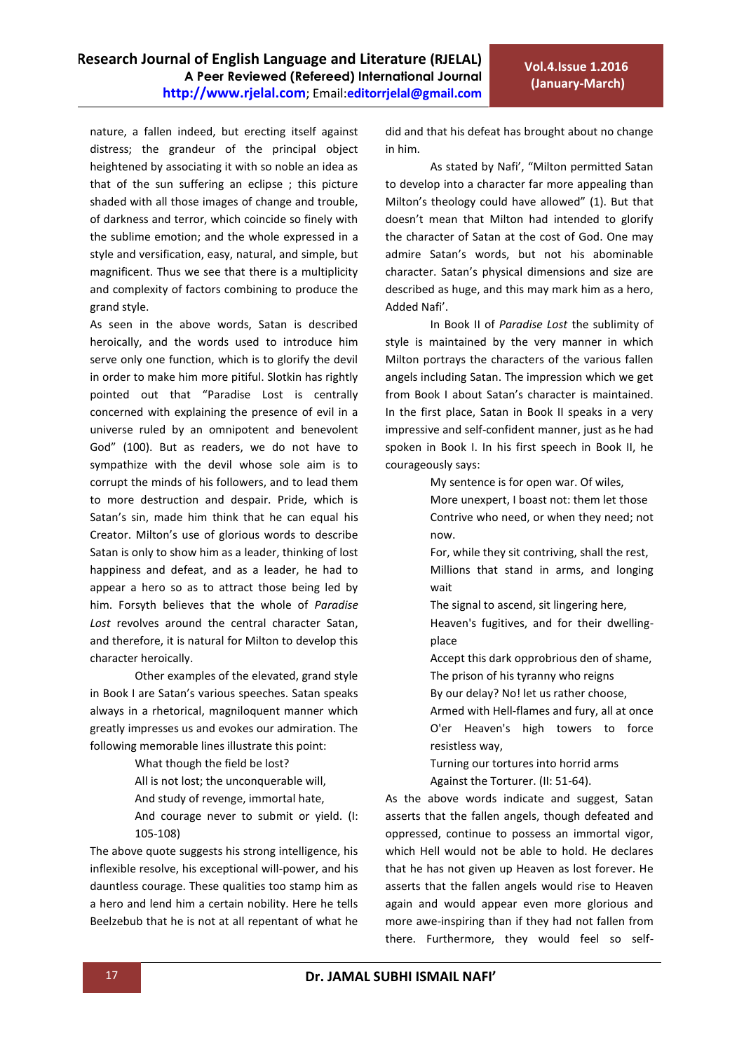nature, a fallen indeed, but erecting itself against distress; the grandeur of the principal object heightened by associating it with so noble an idea as that of the sun suffering an eclipse ; this picture shaded with all those images of change and trouble, of darkness and terror, which coincide so finely with the sublime emotion; and the whole expressed in a style and versification, easy, natural, and simple, but magnificent. Thus we see that there is a multiplicity and complexity of factors combining to produce the grand style.

As seen in the above words, Satan is described heroically, and the words used to introduce him serve only one function, which is to glorify the devil in order to make him more pitiful. Slotkin has rightly pointed out that "Paradise Lost is centrally concerned with explaining the presence of evil in a universe ruled by an omnipotent and benevolent God" (100). But as readers, we do not have to sympathize with the devil whose sole aim is to corrupt the minds of his followers, and to lead them to more destruction and despair. Pride, which is Satan's sin, made him think that he can equal his Creator. Milton's use of glorious words to describe Satan is only to show him as a leader, thinking of lost happiness and defeat, and as a leader, he had to appear a hero so as to attract those being led by him. Forsyth believes that the whole of *Paradise Lost* revolves around the central character Satan, and therefore, it is natural for Milton to develop this character heroically.

Other examples of the elevated, grand style in Book I are Satan's various speeches. Satan speaks always in a rhetorical, magniloquent manner which greatly impresses us and evokes our admiration. The following memorable lines illustrate this point:

What though the field be lost?

- All is not lost; the unconquerable will,
- And study of revenge, immortal hate,

And courage never to submit or yield. (I: 105-108)

The above quote suggests his strong intelligence, his inflexible resolve, his exceptional will-power, and his dauntless courage. These qualities too stamp him as a hero and lend him a certain nobility. Here he tells Beelzebub that he is not at all repentant of what he

did and that his defeat has brought about no change in him.

As stated by Nafi', "Milton permitted Satan to develop into a character far more appealing than Milton's theology could have allowed" (1). But that doesn't mean that Milton had intended to glorify the character of Satan at the cost of God. One may admire Satan's words, but not his abominable character. Satan's physical dimensions and size are described as huge, and this may mark him as a hero, Added Nafi'.

In Book II of *Paradise Lost* the sublimity of style is maintained by the very manner in which Milton portrays the characters of the various fallen angels including Satan. The impression which we get from Book I about Satan's character is maintained. In the first place, Satan in Book II speaks in a very impressive and self-confident manner, just as he had spoken in Book I. In his first speech in Book II, he courageously says:

My sentence is for open war. Of wiles,

- More unexpert, I boast not: them let those Contrive who need, or when they need; not now.
- For, while they sit contriving, shall the rest, Millions that stand in arms, and longing wait
- The signal to ascend, sit lingering here,
- Heaven's fugitives, and for their dwellingplace
- Accept this dark opprobrious den of shame, The prison of his tyranny who reigns
- By our delay? No! let us rather choose,
- Armed with Hell-flames and fury, all at once O'er Heaven's high towers to force resistless way,
- Turning our tortures into horrid arms

Against the Torturer. (II: 51-64).

As the above words indicate and suggest, Satan asserts that the fallen angels, though defeated and oppressed, continue to possess an immortal vigor, which Hell would not be able to hold. He declares that he has not given up Heaven as lost forever. He asserts that the fallen angels would rise to Heaven again and would appear even more glorious and more awe-inspiring than if they had not fallen from there. Furthermore, they would feel so self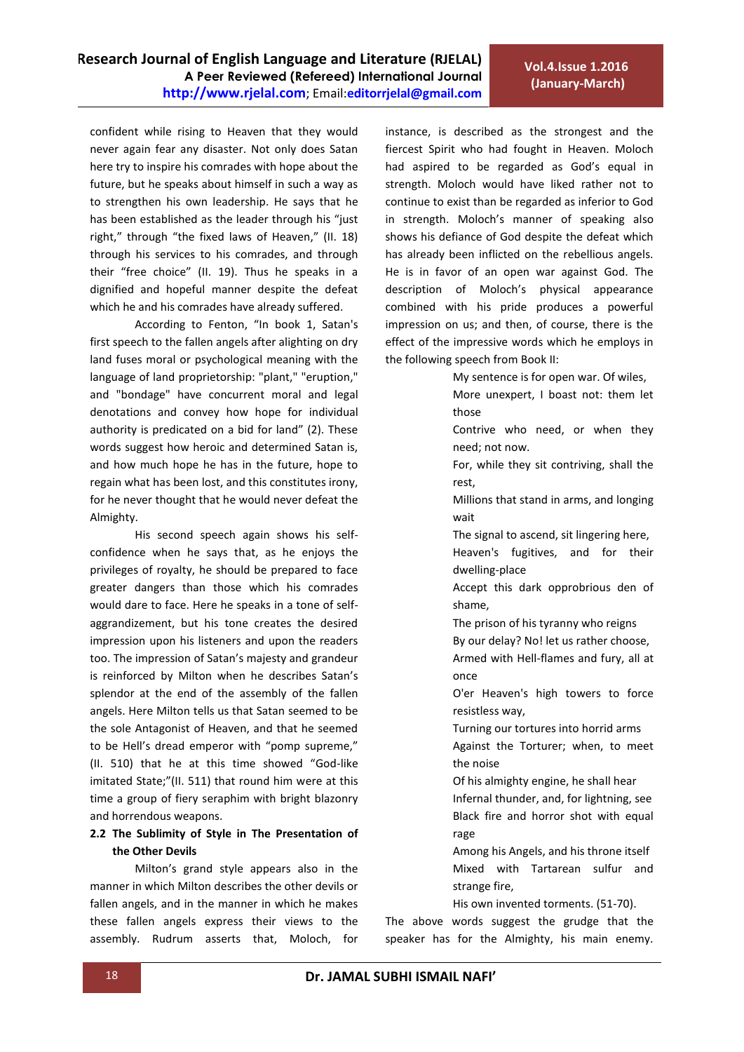confident while rising to Heaven that they would never again fear any disaster. Not only does Satan here try to inspire his comrades with hope about the future, but he speaks about himself in such a way as to strengthen his own leadership. He says that he has been established as the leader through his "just right," through "the fixed laws of Heaven," (II. 18) through his services to his comrades, and through their "free choice" (II. 19). Thus he speaks in a dignified and hopeful manner despite the defeat which he and his comrades have already suffered.

According to Fenton, "In book 1, Satan's first speech to the fallen angels after alighting on dry land fuses moral or psychological meaning with the language of land proprietorship: "plant," "eruption," and "bondage" have concurrent moral and legal denotations and convey how hope for individual authority is predicated on a bid for land" (2). These words suggest how heroic and determined Satan is, and how much hope he has in the future, hope to regain what has been lost, and this constitutes irony, for he never thought that he would never defeat the Almighty.

His second speech again shows his selfconfidence when he says that, as he enjoys the privileges of royalty, he should be prepared to face greater dangers than those which his comrades would dare to face. Here he speaks in a tone of selfaggrandizement, but his tone creates the desired impression upon his listeners and upon the readers too. The impression of Satan's majesty and grandeur is reinforced by Milton when he describes Satan's splendor at the end of the assembly of the fallen angels. Here Milton tells us that Satan seemed to be the sole Antagonist of Heaven, and that he seemed to be Hell's dread emperor with "pomp supreme," (II. 510) that he at this time showed "God-like imitated State;"(II. 511) that round him were at this time a group of fiery seraphim with bright blazonry and horrendous weapons.

## **2.2 The Sublimity of Style in The Presentation of the Other Devils**

Milton's grand style appears also in the manner in which Milton describes the other devils or fallen angels, and in the manner in which he makes these fallen angels express their views to the assembly. Rudrum asserts that, Moloch, for

instance, is described as the strongest and the fiercest Spirit who had fought in Heaven. Moloch had aspired to be regarded as God's equal in strength. Moloch would have liked rather not to continue to exist than be regarded as inferior to God in strength. Moloch's manner of speaking also shows his defiance of God despite the defeat which has already been inflicted on the rebellious angels. He is in favor of an open war against God. The description of Moloch's physical appearance combined with his pride produces a powerful impression on us; and then, of course, there is the effect of the impressive words which he employs in the following speech from Book II:

My sentence is for open war. Of wiles,

More unexpert, I boast not: them let those

- Contrive who need, or when they need; not now.
- For, while they sit contriving, shall the rest,
- Millions that stand in arms, and longing wait
- The signal to ascend, sit lingering here,
- Heaven's fugitives, and for their dwelling-place
- Accept this dark opprobrious den of shame,
- The prison of his tyranny who reigns
- By our delay? No! let us rather choose,
- Armed with Hell-flames and fury, all at once
- O'er Heaven's high towers to force resistless way,
- Turning our tortures into horrid arms Against the Torturer; when, to meet the noise
- Of his almighty engine, he shall hear
- Infernal thunder, and, for lightning, see Black fire and horror shot with equal rage
- Among his Angels, and his throne itself Mixed with Tartarean sulfur and strange fire,
- His own invented torments. (51-70).

The above words suggest the grudge that the speaker has for the Almighty, his main enemy.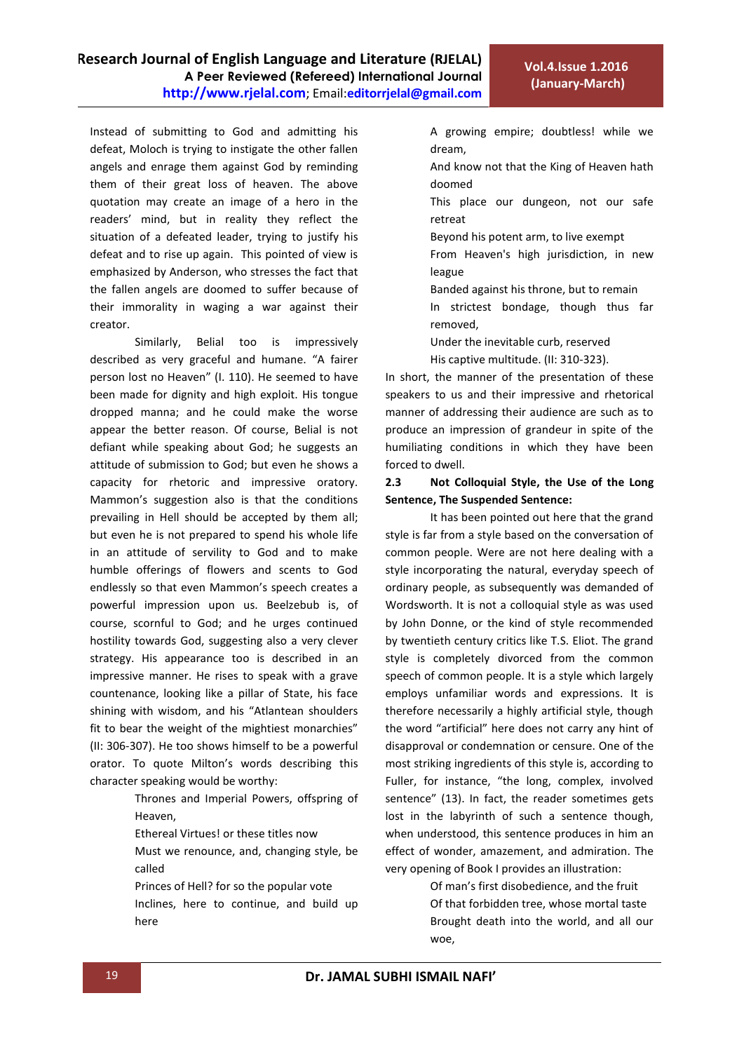Instead of submitting to God and admitting his defeat, Moloch is trying to instigate the other fallen angels and enrage them against God by reminding them of their great loss of heaven. The above quotation may create an image of a hero in the readers' mind, but in reality they reflect the situation of a defeated leader, trying to justify his defeat and to rise up again. This pointed of view is emphasized by Anderson, who stresses the fact that the fallen angels are doomed to suffer because of their immorality in waging a war against their creator.

Similarly, Belial too is impressively described as very graceful and humane. "A fairer person lost no Heaven" (I. 110). He seemed to have been made for dignity and high exploit. His tongue dropped manna; and he could make the worse appear the better reason. Of course, Belial is not defiant while speaking about God; he suggests an attitude of submission to God; but even he shows a capacity for rhetoric and impressive oratory. Mammon's suggestion also is that the conditions prevailing in Hell should be accepted by them all; but even he is not prepared to spend his whole life in an attitude of servility to God and to make humble offerings of flowers and scents to God endlessly so that even Mammon's speech creates a powerful impression upon us. Beelzebub is, of course, scornful to God; and he urges continued hostility towards God, suggesting also a very clever strategy. His appearance too is described in an impressive manner. He rises to speak with a grave countenance, looking like a pillar of State, his face shining with wisdom, and his "Atlantean shoulders fit to bear the weight of the mightiest monarchies" (II: 306-307). He too shows himself to be a powerful orator. To quote Milton's words describing this character speaking would be worthy:

> Thrones and Imperial Powers, offspring of Heaven,

Ethereal Virtues! or these titles now

Must we renounce, and, changing style, be called

Princes of Hell? for so the popular vote Inclines, here to continue, and build up here

A growing empire; doubtless! while we dream,

- And know not that the King of Heaven hath doomed
- This place our dungeon, not our safe retreat
- Beyond his potent arm, to live exempt
- From Heaven's high jurisdiction, in new league
- Banded against his throne, but to remain
- In strictest bondage, though thus far removed,
- Under the inevitable curb, reserved

His captive multitude. (II: 310-323).

In short, the manner of the presentation of these speakers to us and their impressive and rhetorical manner of addressing their audience are such as to produce an impression of grandeur in spite of the humiliating conditions in which they have been forced to dwell.

## **2.3 Not Colloquial Style, the Use of the Long Sentence, The Suspended Sentence:**

 It has been pointed out here that the grand style is far from a style based on the conversation of common people. Were are not here dealing with a style incorporating the natural, everyday speech of ordinary people, as subsequently was demanded of Wordsworth. It is not a colloquial style as was used by John Donne, or the kind of style recommended by twentieth century critics like T.S. Eliot. The grand style is completely divorced from the common speech of common people. It is a style which largely employs unfamiliar words and expressions. It is therefore necessarily a highly artificial style, though the word "artificial" here does not carry any hint of disapproval or condemnation or censure. One of the most striking ingredients of this style is, according to Fuller, for instance, "the long, complex, involved sentence" (13). In fact, the reader sometimes gets lost in the labyrinth of such a sentence though, when understood, this sentence produces in him an effect of wonder, amazement, and admiration. The very opening of Book I provides an illustration:

> Of man's first disobedience, and the fruit Of that forbidden tree, whose mortal taste Brought death into the world, and all our woe,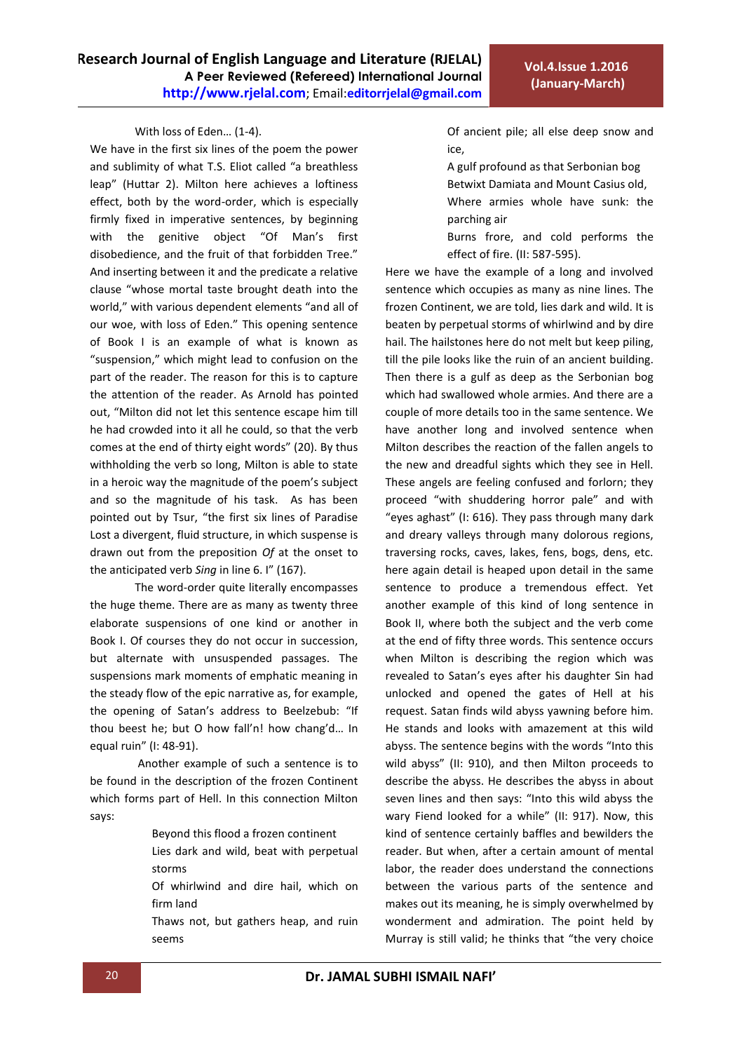#### With loss of Eden… (1-4).

We have in the first six lines of the poem the power and sublimity of what T.S. Eliot called "a breathless leap" (Huttar 2). Milton here achieves a loftiness effect, both by the word-order, which is especially firmly fixed in imperative sentences, by beginning with the genitive object "Of Man's first disobedience, and the fruit of that forbidden Tree." And inserting between it and the predicate a relative clause "whose mortal taste brought death into the world," with various dependent elements "and all of our woe, with loss of Eden." This opening sentence of Book I is an example of what is known as "suspension," which might lead to confusion on the part of the reader. The reason for this is to capture the attention of the reader. As Arnold has pointed out, "Milton did not let this sentence escape him till he had crowded into it all he could, so that the verb comes at the end of thirty eight words" (20). By thus withholding the verb so long, Milton is able to state in a heroic way the magnitude of the poem's subject and so the magnitude of his task. As has been pointed out by Tsur, "the first six lines of Paradise Lost a divergent, fluid structure, in which suspense is drawn out from the preposition *Of* at the onset to the anticipated verb *Sing* in line 6. I" (167).

The word-order quite literally encompasses the huge theme. There are as many as twenty three elaborate suspensions of one kind or another in Book I. Of courses they do not occur in succession, but alternate with unsuspended passages. The suspensions mark moments of emphatic meaning in the steady flow of the epic narrative as, for example, the opening of Satan's address to Beelzebub: "If thou beest he; but O how fall'n! how chang'd… In equal ruin" (I: 48-91).

Another example of such a sentence is to be found in the description of the frozen Continent which forms part of Hell. In this connection Milton says:

Beyond this flood a frozen continent

Lies dark and wild, beat with perpetual storms

Of whirlwind and dire hail, which on firm land

Thaws not, but gathers heap, and ruin seems

Of ancient pile; all else deep snow and ice,

A gulf profound as that Serbonian bog Betwixt Damiata and Mount Casius old, Where armies whole have sunk: the

parching air Burns frore, and cold performs the

effect of fire. (II: 587-595).

Here we have the example of a long and involved sentence which occupies as many as nine lines. The frozen Continent, we are told, lies dark and wild. It is beaten by perpetual storms of whirlwind and by dire hail. The hailstones here do not melt but keep piling, till the pile looks like the ruin of an ancient building. Then there is a gulf as deep as the Serbonian bog which had swallowed whole armies. And there are a couple of more details too in the same sentence. We have another long and involved sentence when Milton describes the reaction of the fallen angels to the new and dreadful sights which they see in Hell. These angels are feeling confused and forlorn; they proceed "with shuddering horror pale" and with "eyes aghast" (I: 616). They pass through many dark and dreary valleys through many dolorous regions, traversing rocks, caves, lakes, fens, bogs, dens, etc. here again detail is heaped upon detail in the same sentence to produce a tremendous effect. Yet another example of this kind of long sentence in Book II, where both the subject and the verb come at the end of fifty three words. This sentence occurs when Milton is describing the region which was revealed to Satan's eyes after his daughter Sin had unlocked and opened the gates of Hell at his request. Satan finds wild abyss yawning before him. He stands and looks with amazement at this wild abyss. The sentence begins with the words "Into this wild abyss" (II: 910), and then Milton proceeds to describe the abyss. He describes the abyss in about seven lines and then says: "Into this wild abyss the wary Fiend looked for a while" (II: 917). Now, this kind of sentence certainly baffles and bewilders the reader. But when, after a certain amount of mental labor, the reader does understand the connections between the various parts of the sentence and makes out its meaning, he is simply overwhelmed by wonderment and admiration. The point held by Murray is still valid; he thinks that "the very choice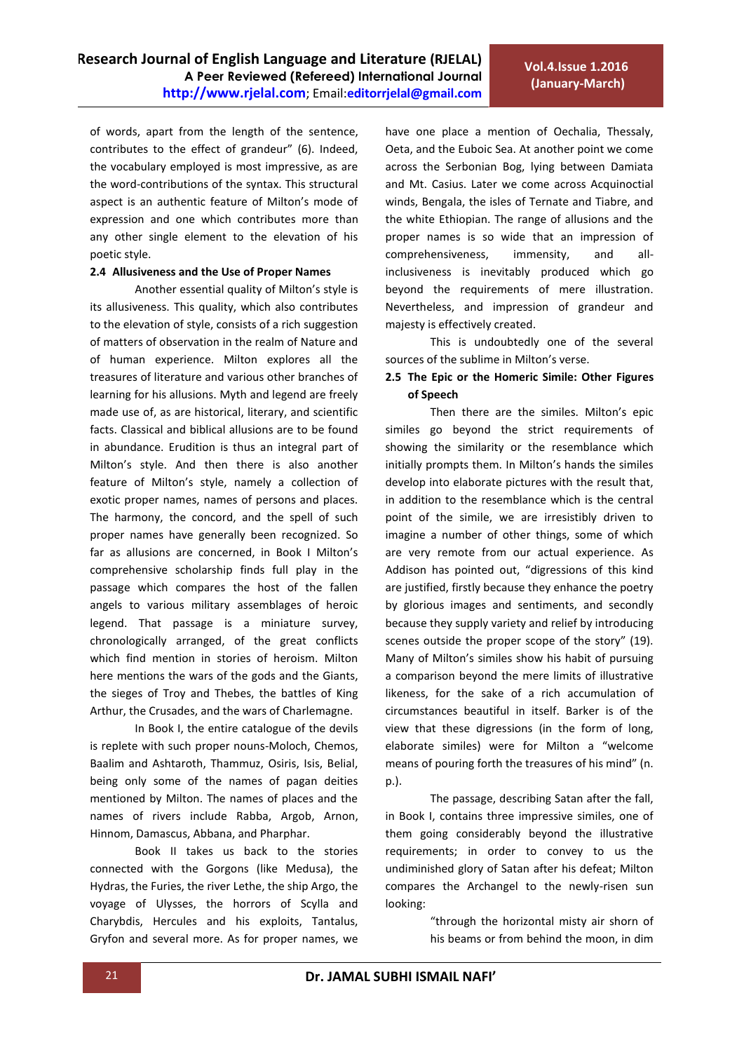of words, apart from the length of the sentence, contributes to the effect of grandeur" (6). Indeed, the vocabulary employed is most impressive, as are the word-contributions of the syntax. This structural aspect is an authentic feature of Milton's mode of expression and one which contributes more than any other single element to the elevation of his poetic style.

#### **2.4 Allusiveness and the Use of Proper Names**

Another essential quality of Milton's style is its allusiveness. This quality, which also contributes to the elevation of style, consists of a rich suggestion of matters of observation in the realm of Nature and of human experience. Milton explores all the treasures of literature and various other branches of learning for his allusions. Myth and legend are freely made use of, as are historical, literary, and scientific facts. Classical and biblical allusions are to be found in abundance. Erudition is thus an integral part of Milton's style. And then there is also another feature of Milton's style, namely a collection of exotic proper names, names of persons and places. The harmony, the concord, and the spell of such proper names have generally been recognized. So far as allusions are concerned, in Book I Milton's comprehensive scholarship finds full play in the passage which compares the host of the fallen angels to various military assemblages of heroic legend. That passage is a miniature survey, chronologically arranged, of the great conflicts which find mention in stories of heroism. Milton here mentions the wars of the gods and the Giants, the sieges of Troy and Thebes, the battles of King Arthur, the Crusades, and the wars of Charlemagne.

In Book I, the entire catalogue of the devils is replete with such proper nouns-Moloch, Chemos, Baalim and Ashtaroth, Thammuz, Osiris, Isis, Belial, being only some of the names of pagan deities mentioned by Milton. The names of places and the names of rivers include Rabba, Argob, Arnon, Hinnom, Damascus, Abbana, and Pharphar.

Book II takes us back to the stories connected with the Gorgons (like Medusa), the Hydras, the Furies, the river Lethe, the ship Argo, the voyage of Ulysses, the horrors of Scylla and Charybdis, Hercules and his exploits, Tantalus, Gryfon and several more. As for proper names, we

have one place a mention of Oechalia, Thessaly, Oeta, and the Euboic Sea. At another point we come across the Serbonian Bog, lying between Damiata and Mt. Casius. Later we come across Acquinoctial winds, Bengala, the isles of Ternate and Tiabre, and the white Ethiopian. The range of allusions and the proper names is so wide that an impression of comprehensiveness, immensity, and allinclusiveness is inevitably produced which go beyond the requirements of mere illustration. Nevertheless, and impression of grandeur and majesty is effectively created.

This is undoubtedly one of the several sources of the sublime in Milton's verse.

## **2.5 The Epic or the Homeric Simile: Other Figures of Speech**

Then there are the similes. Milton's epic similes go beyond the strict requirements of showing the similarity or the resemblance which initially prompts them. In Milton's hands the similes develop into elaborate pictures with the result that, in addition to the resemblance which is the central point of the simile, we are irresistibly driven to imagine a number of other things, some of which are very remote from our actual experience. As Addison has pointed out, "digressions of this kind are justified, firstly because they enhance the poetry by glorious images and sentiments, and secondly because they supply variety and relief by introducing scenes outside the proper scope of the story" (19). Many of Milton's similes show his habit of pursuing a comparison beyond the mere limits of illustrative likeness, for the sake of a rich accumulation of circumstances beautiful in itself. Barker is of the view that these digressions (in the form of long, elaborate similes) were for Milton a "welcome means of pouring forth the treasures of his mind" (n. p.).

The passage, describing Satan after the fall, in Book I, contains three impressive similes, one of them going considerably beyond the illustrative requirements; in order to convey to us the undiminished glory of Satan after his defeat; Milton compares the Archangel to the newly-risen sun looking:

> "through the horizontal misty air shorn of his beams or from behind the moon, in dim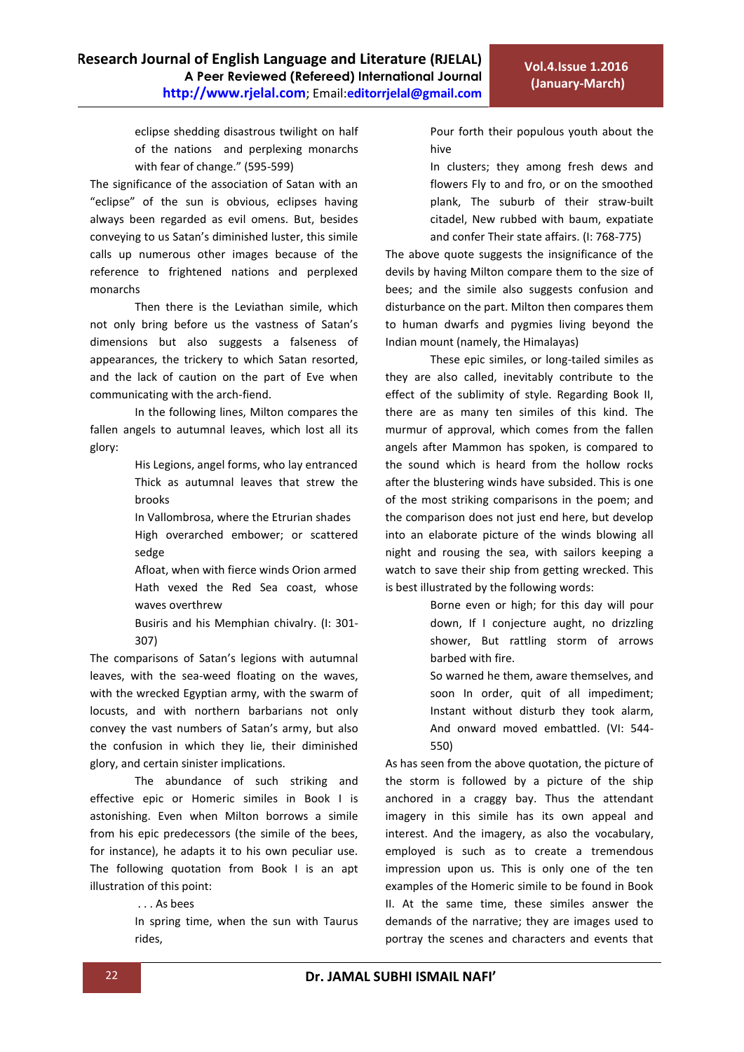eclipse shedding disastrous twilight on half of the nations and perplexing monarchs with fear of change." (595-599)

The significance of the association of Satan with an "eclipse" of the sun is obvious, eclipses having always been regarded as evil omens. But, besides conveying to us Satan's diminished luster, this simile calls up numerous other images because of the reference to frightened nations and perplexed monarchs

Then there is the Leviathan simile, which not only bring before us the vastness of Satan's dimensions but also suggests a falseness of appearances, the trickery to which Satan resorted, and the lack of caution on the part of Eve when communicating with the arch-fiend.

In the following lines, Milton compares the fallen angels to autumnal leaves, which lost all its glory:

> His Legions, angel forms, who lay entranced Thick as autumnal leaves that strew the brooks

> In Vallombrosa, where the Etrurian shades High overarched embower; or scattered sedge

> Afloat, when with fierce winds Orion armed Hath vexed the Red Sea coast, whose waves overthrew

> Busiris and his Memphian chivalry. (I: 301- 307)

The comparisons of Satan's legions with autumnal leaves, with the sea-weed floating on the waves, with the wrecked Egyptian army, with the swarm of locusts, and with northern barbarians not only convey the vast numbers of Satan's army, but also the confusion in which they lie, their diminished glory, and certain sinister implications.

 The abundance of such striking and effective epic or Homeric similes in Book I is astonishing. Even when Milton borrows a simile from his epic predecessors (the simile of the bees, for instance), he adapts it to his own peculiar use. The following quotation from Book I is an apt illustration of this point:

. . . As bees

In spring time, when the sun with Taurus rides,

Pour forth their populous youth about the hive

In clusters; they among fresh dews and flowers Fly to and fro, or on the smoothed plank, The suburb of their straw-built citadel, New rubbed with baum, expatiate and confer Their state affairs. (I: 768-775)

The above quote suggests the insignificance of the devils by having Milton compare them to the size of bees; and the simile also suggests confusion and disturbance on the part. Milton then compares them to human dwarfs and pygmies living beyond the Indian mount (namely, the Himalayas)

These epic similes, or long-tailed similes as they are also called, inevitably contribute to the effect of the sublimity of style. Regarding Book II, there are as many ten similes of this kind. The murmur of approval, which comes from the fallen angels after Mammon has spoken, is compared to the sound which is heard from the hollow rocks after the blustering winds have subsided. This is one of the most striking comparisons in the poem; and the comparison does not just end here, but develop into an elaborate picture of the winds blowing all night and rousing the sea, with sailors keeping a watch to save their ship from getting wrecked. This is best illustrated by the following words:

> Borne even or high; for this day will pour down, If I conjecture aught, no drizzling shower, But rattling storm of arrows barbed with fire.

> So warned he them, aware themselves, and soon In order, quit of all impediment; Instant without disturb they took alarm, And onward moved embattled. (VI: 544- 550)

As has seen from the above quotation, the picture of the storm is followed by a picture of the ship anchored in a craggy bay. Thus the attendant imagery in this simile has its own appeal and interest. And the imagery, as also the vocabulary, employed is such as to create a tremendous impression upon us. This is only one of the ten examples of the Homeric simile to be found in Book II. At the same time, these similes answer the demands of the narrative; they are images used to portray the scenes and characters and events that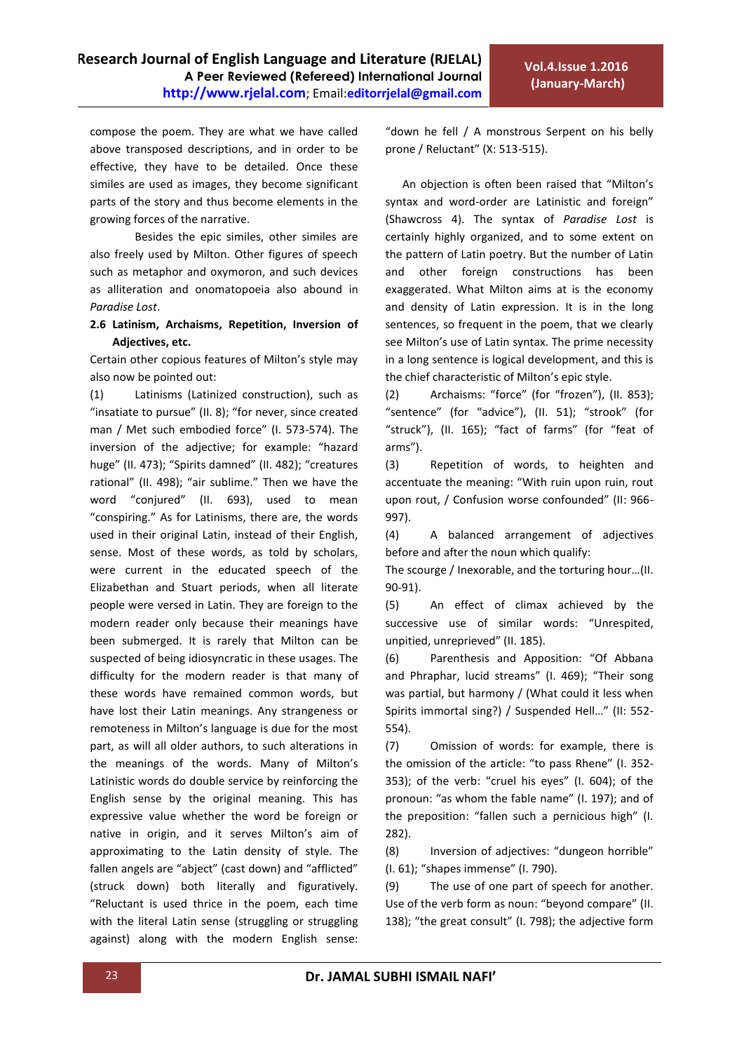compose the poem. They are what we have called above transposed descriptions, and in order to be effective, they have to be detailed. Once these similes are used as images, they become significant parts of the story and thus become elements in the growing forces of the narrative.

Besides the epic similes, other similes are also freely used by Milton. Other figures of speech such as metaphor and oxymoron, and such devices as alliteration and onomatopoeia also abound in *Paradise Lost*.

## **2.6 Latinism, Archaisms, Repetition, Inversion of Adjectives, etc.**

Certain other copious features of Milton's style may also now be pointed out:

(1) Latinisms (Latinized construction), such as "insatiate to pursue" (II. 8); "for never, since created man / Met such embodied force" (I. 573-574). The inversion of the adjective; for example: "hazard huge" (II. 473); "Spirits damned" (II. 482); "creatures rational" (II. 498); "air sublime." Then we have the word "conjured" (II. 693), used to mean "conspiring." As for Latinisms, there are, the words used in their original Latin, instead of their English, sense. Most of these words, as told by scholars, were current in the educated speech of the Elizabethan and Stuart periods, when all literate people were versed in Latin. They are foreign to the modern reader only because their meanings have been submerged. It is rarely that Milton can be suspected of being idiosyncratic in these usages. The difficulty for the modern reader is that many of these words have remained common words, but have lost their Latin meanings. Any strangeness or remoteness in Milton's language is due for the most part, as will all older authors, to such alterations in the meanings of the words. Many of Milton's Latinistic words do double service by reinforcing the English sense by the original meaning. This has expressive value whether the word be foreign or native in origin, and it serves Milton's aim of approximating to the Latin density of style. The fallen angels are "abject" (cast down) and "afflicted" (struck down) both literally and figuratively. "Reluctant is used thrice in the poem, each time with the literal Latin sense (struggling or struggling against) along with the modern English sense:

"down he fell / A monstrous Serpent on his belly prone / Reluctant" (X: 513-515).

 An objection is often been raised that "Milton's syntax and word-order are Latinistic and foreign" (Shawcross 4). The syntax of *Paradise Lost* is certainly highly organized, and to some extent on the pattern of Latin poetry. But the number of Latin and other foreign constructions has been exaggerated. What Milton aims at is the economy and density of Latin expression. It is in the long sentences, so frequent in the poem, that we clearly see Milton's use of Latin syntax. The prime necessity in a long sentence is logical development, and this is the chief characteristic of Milton's epic style.

(2) Archaisms: "force" (for "frozen"), (II. 853); "sentence" (for "advice"), (II. 51); "strook" (for "struck"), (II. 165); "fact of farms" (for "feat of arms").

(3) Repetition of words, to heighten and accentuate the meaning: "With ruin upon ruin, rout upon rout, / Confusion worse confounded" (II: 966- 997).

(4) A balanced arrangement of adjectives before and after the noun which qualify:

The scourge / Inexorable, and the torturing hour…(II. 90-91).

(5) An effect of climax achieved by the successive use of similar words: "Unrespited, unpitied, unreprieved" (II. 185).

(6) Parenthesis and Apposition: "Of Abbana and Phraphar, lucid streams" (I. 469); "Their song was partial, but harmony / (What could it less when Spirits immortal sing?) / Suspended Hell…" (II: 552- 554).

(7) Omission of words: for example, there is the omission of the article: "to pass Rhene" (I. 352- 353); of the verb: "cruel his eyes" (I. 604); of the pronoun: "as whom the fable name" (I. 197); and of the preposition: "fallen such a pernicious high" (I. 282).

(8) Inversion of adjectives: "dungeon horrible" (I. 61); "shapes immense" (I. 790).

(9) The use of one part of speech for another. Use of the verb form as noun: "beyond compare" (II. 138); "the great consult" (I. 798); the adjective form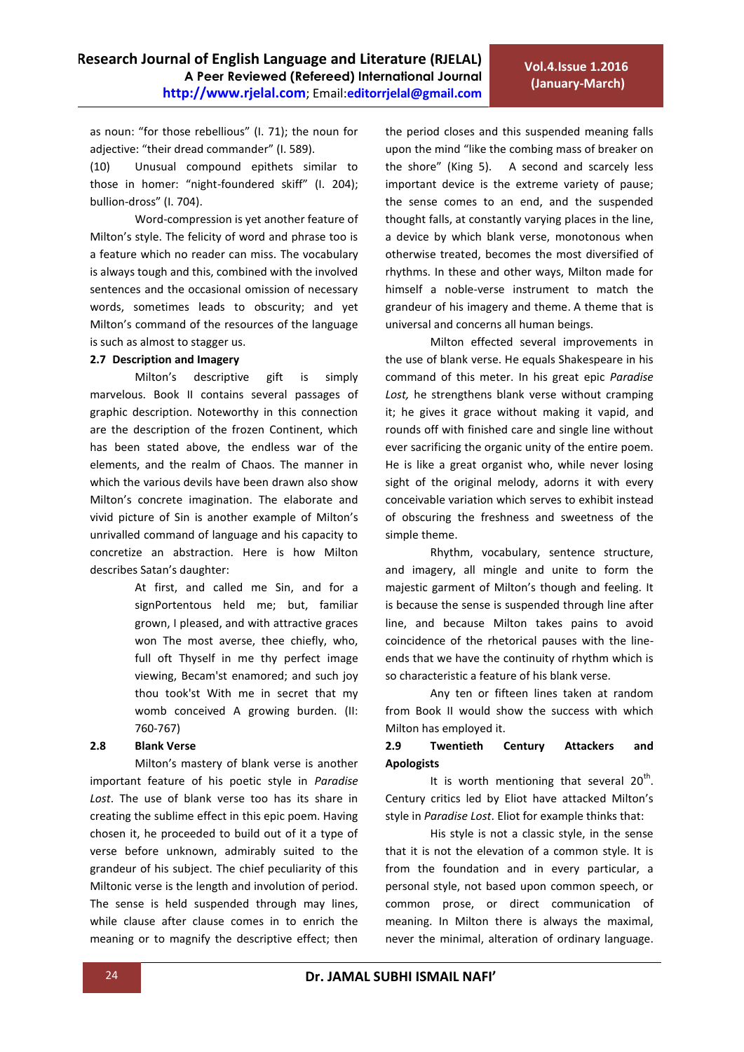as noun: "for those rebellious" (I. 71); the noun for adjective: "their dread commander" (I. 589).

(10) Unusual compound epithets similar to those in homer: "night-foundered skiff" (I. 204); bullion-dross" (I. 704).

Word-compression is yet another feature of Milton's style. The felicity of word and phrase too is a feature which no reader can miss. The vocabulary is always tough and this, combined with the involved sentences and the occasional omission of necessary words, sometimes leads to obscurity; and yet Milton's command of the resources of the language is such as almost to stagger us.

#### **2.7 Description and Imagery**

Milton's descriptive gift is simply marvelous. Book II contains several passages of graphic description. Noteworthy in this connection are the description of the frozen Continent, which has been stated above, the endless war of the elements, and the realm of Chaos. The manner in which the various devils have been drawn also show Milton's concrete imagination. The elaborate and vivid picture of Sin is another example of Milton's unrivalled command of language and his capacity to concretize an abstraction. Here is how Milton describes Satan's daughter:

> At first, and called me Sin, and for a signPortentous held me; but, familiar grown, I pleased, and with attractive graces won The most averse, thee chiefly, who, full oft Thyself in me thy perfect image viewing, Becam'st enamored; and such joy thou took'st With me in secret that my womb conceived A growing burden. (II: 760-767)

## **2.8 Blank Verse**

Milton's mastery of blank verse is another important feature of his poetic style in *Paradise Lost*. The use of blank verse too has its share in creating the sublime effect in this epic poem. Having chosen it, he proceeded to build out of it a type of verse before unknown, admirably suited to the grandeur of his subject. The chief peculiarity of this Miltonic verse is the length and involution of period. The sense is held suspended through may lines, while clause after clause comes in to enrich the meaning or to magnify the descriptive effect; then

the period closes and this suspended meaning falls upon the mind "like the combing mass of breaker on the shore" (King 5). A second and scarcely less important device is the extreme variety of pause; the sense comes to an end, and the suspended thought falls, at constantly varying places in the line, a device by which blank verse, monotonous when otherwise treated, becomes the most diversified of rhythms. In these and other ways, Milton made for himself a noble-verse instrument to match the grandeur of his imagery and theme. A theme that is universal and concerns all human beings.

Milton effected several improvements in the use of blank verse. He equals Shakespeare in his command of this meter. In his great epic *Paradise Lost,* he strengthens blank verse without cramping it; he gives it grace without making it vapid, and rounds off with finished care and single line without ever sacrificing the organic unity of the entire poem. He is like a great organist who, while never losing sight of the original melody, adorns it with every conceivable variation which serves to exhibit instead of obscuring the freshness and sweetness of the simple theme.

Rhythm, vocabulary, sentence structure, and imagery, all mingle and unite to form the majestic garment of Milton's though and feeling. It is because the sense is suspended through line after line, and because Milton takes pains to avoid coincidence of the rhetorical pauses with the lineends that we have the continuity of rhythm which is so characteristic a feature of his blank verse.

Any ten or fifteen lines taken at random from Book II would show the success with which Milton has employed it.

## **2.9 Twentieth Century Attackers and Apologists**

It is worth mentioning that several  $20^{th}$ . Century critics led by Eliot have attacked Milton's style in *Paradise Lost*. Eliot for example thinks that:

His style is not a classic style, in the sense that it is not the elevation of a common style. It is from the foundation and in every particular, a personal style, not based upon common speech, or common prose, or direct communication of meaning. In Milton there is always the maximal, never the minimal, alteration of ordinary language.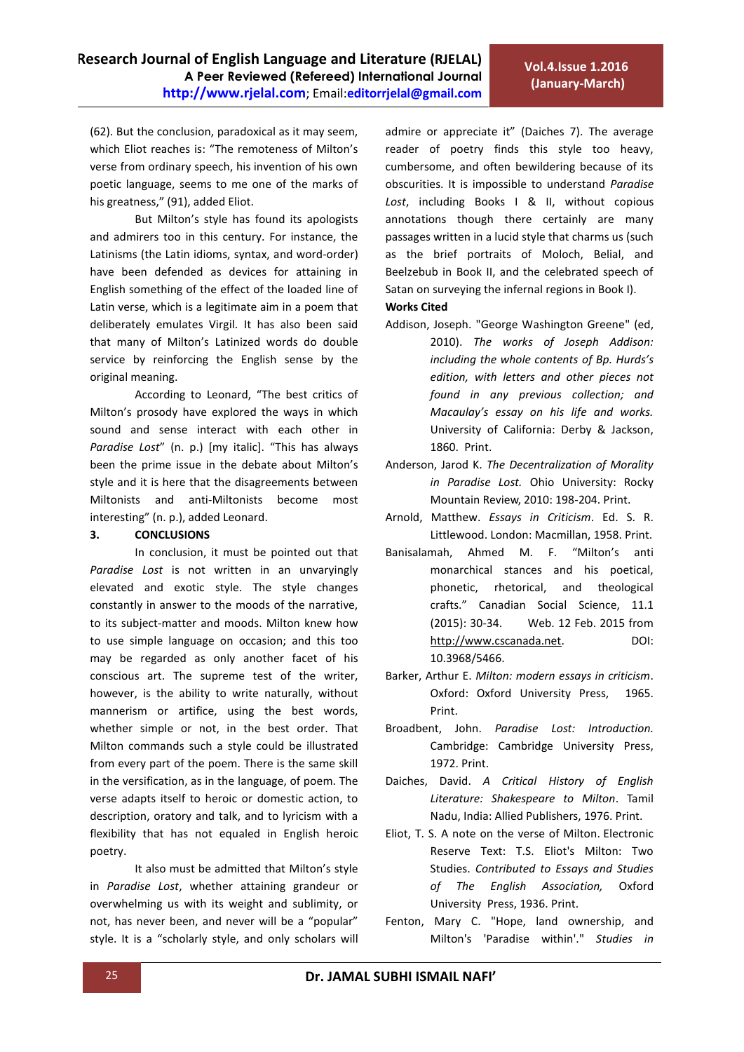(62). But the conclusion, paradoxical as it may seem, which Eliot reaches is: "The remoteness of Milton's verse from ordinary speech, his invention of his own poetic language, seems to me one of the marks of his greatness," (91), added Eliot.

But Milton's style has found its apologists and admirers too in this century. For instance, the Latinisms (the Latin idioms, syntax, and word-order) have been defended as devices for attaining in English something of the effect of the loaded line of Latin verse, which is a legitimate aim in a poem that deliberately emulates Virgil. It has also been said that many of Milton's Latinized words do double service by reinforcing the English sense by the original meaning.

According to Leonard, "The best critics of Milton's prosody have explored the ways in which sound and sense interact with each other in *Paradise Lost"* (n. p.) [my italic]. "This has always been the prime issue in the debate about Milton's style and it is here that the disagreements between Miltonists and anti-Miltonists become most interesting" (n. p.), added Leonard.

### **3. CONCLUSIONS**

In conclusion, it must be pointed out that *Paradise Lost* is not written in an unvaryingly elevated and exotic style. The style changes constantly in answer to the moods of the narrative, to its subject-matter and moods. Milton knew how to use simple language on occasion; and this too may be regarded as only another facet of his conscious art. The supreme test of the writer, however, is the ability to write naturally, without mannerism or artifice, using the best words, whether simple or not, in the best order. That Milton commands such a style could be illustrated from every part of the poem. There is the same skill in the versification, as in the language, of poem. The verse adapts itself to heroic or domestic action, to description, oratory and talk, and to lyricism with a flexibility that has not equaled in English heroic poetry.

It also must be admitted that Milton's style in *Paradise Lost*, whether attaining grandeur or overwhelming us with its weight and sublimity, or not, has never been, and never will be a "popular" style. It is a "scholarly style, and only scholars will admire or appreciate it" (Daiches 7). The average reader of poetry finds this style too heavy, cumbersome, and often bewildering because of its obscurities. It is impossible to understand *Paradise Lost*, including Books I & II, without copious annotations though there certainly are many passages written in a lucid style that charms us (such as the brief portraits of Moloch, Belial, and Beelzebub in Book II, and the celebrated speech of Satan on surveying the infernal regions in Book I). **Works Cited**

- Addison, Joseph. ["George Washington Greene"](https://www.google.ps/search?hl=ar&tbo=p&tbm=bks&q=inauthor:%22George+Washington+Greene%22&source=gbs_metadata_r&cad=6) (ed, 2010). *The works of Joseph Addison: including the whole contents of Bp. Hurds's edition, with letters and other pieces not found in any previous collection; and Macaulay's essay on his life and works.* University of California: Derby & Jackson, 1860. Print.
- Anderson, Jarod K. *The Decentralization of Morality in Paradise Lost.* Ohio University: Rocky Mountain Review, 2010: 198-204. Print.
- Arnold, Matthew. *Essays in Criticism*. Ed. S. R. Littlewood. London: Macmillan, 1958. Print.
- Banisalamah, Ahmed M. F. "Milton's anti monarchical stances and his poetical, phonetic, rhetorical, and theological crafts." Canadian Social Science, 11.1 (2015): 30-34. Web. 12 Feb. 2015 from [http://www.cscanada.net.](http://www.cscanada.net/) DOI: 10.3968/5466.
- Barker, Arthur E. *Milton: modern essays in criticism*. Oxford: Oxford University Press, 1965. Print.
- Broadbent, John. *Paradise Lost: Introduction.* Cambridge: Cambridge University Press, 1972. Print.
- Daiches, David. *A Critical History of English Literature: Shakespeare to Milton*. Tamil Nadu, India: Allied Publishers, 1976. Print.
- Eliot, T. S. A note on the verse of Milton. Electronic Reserve Text: T.S. Eliot's Milton: Two Studies. *Contributed to Essays and Studies of The English Association,* Oxford University Press, 1936. Print.
- Fenton, Mary C. "Hope, land ownership, and Milton's 'Paradise within'." *Studies in*